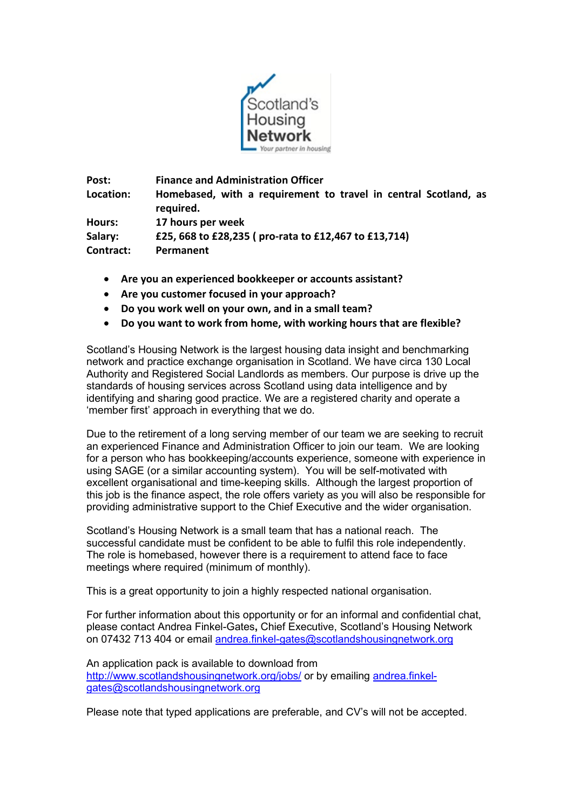

**Post: Finance and Administration Officer Location: Homebased, with a requirement to travel in central Scotland, as required. Hours: 17 hours per week Salary: £25, 668 to £28,235 ( pro-rata to £12,467 to £13,714) Contract: Permanent**

- **Are you an experienced bookkeeper or accounts assistant?**
- **Are you customer focused in your approach?**
- **Do you work well on your own, and in a small team?**
- **Do you want to work from home, with working hours that are flexible?**

Scotland's Housing Network is the largest housing data insight and benchmarking network and practice exchange organisation in Scotland. We have circa 130 Local Authority and Registered Social Landlords as members. Our purpose is drive up the standards of housing services across Scotland using data intelligence and by identifying and sharing good practice. We are a registered charity and operate a 'member first' approach in everything that we do.

Due to the retirement of a long serving member of our team we are seeking to recruit an experienced Finance and Administration Officer to join our team. We are looking for a person who has bookkeeping/accounts experience, someone with experience in using SAGE (or a similar accounting system). You will be self-motivated with excellent organisational and time-keeping skills. Although the largest proportion of this job is the finance aspect, the role offers variety as you will also be responsible for providing administrative support to the Chief Executive and the wider organisation.

Scotland's Housing Network is a small team that has a national reach. The successful candidate must be confident to be able to fulfil this role independently. The role is homebased, however there is a requirement to attend face to face meetings where required (minimum of monthly).

This is a great opportunity to join a highly respected national organisation.

For further information about this opportunity or for an informal and confidential chat, please contact Andrea Finkel-Gates**,** Chief Executive, Scotland's Housing Network on 07432 713 404 or email [andrea.finkel-gates@scotlandshousingnetwork.org](mailto:andrea.finkel-gates@scotlandshousingnetwork.org)

An application pack is available to download from <http://www.scotlandshousingnetwork.org/jobs/> or by emailing [andrea.finkel](mailto:andrea.finkel-gates@scotlandshousingnetwork.org)[gates@scotlandshousingnetwork.org](mailto:andrea.finkel-gates@scotlandshousingnetwork.org)

Please note that typed applications are preferable, and CV's will not be accepted.